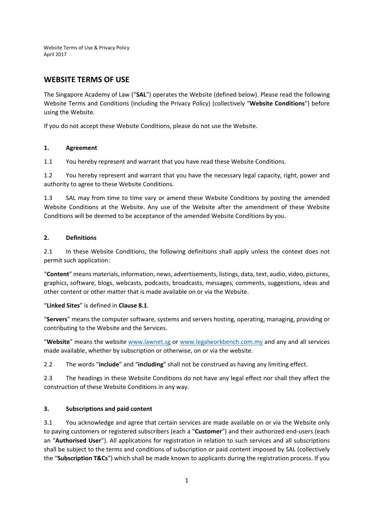# **WEBSITE TERMS OF USE**

The Singapore Academy of Law ("**SAL**") operates the Website (defined below). Please read the following Website Terms and Conditions (including the Privacy Policy) (collectively "**Website Conditions**") before using the Website.

If you do not accept these Website Conditions, please do not use the Website.

## **1. Agreement**

1.1 You hereby represent and warrant that you have read these Website Conditions.

1.2 You hereby represent and warrant that you have the necessary legal capacity, right, power and authority to agree to these Website Conditions.

1.3 SAL may from time to time vary or amend these Website Conditions by posting the amended Website Conditions at the Website. Any use of the Website after the amendment of these Website Conditions will be deemed to be acceptance of the amended Website Conditions by you.

## **2. Definitions**

2.1 In these Website Conditions, the following definitions shall apply unless the context does not permit such application:

"**Content**" means materials, information, news, advertisements, listings, data, text, audio, video, pictures, graphics, software, blogs, webcasts, podcasts, broadcasts, messages, comments, suggestions, ideas and other content or other matter that is made available on or via the Website.

"**Linked Sites**" is defined in **Clause 8.1**.

"**Servers**" means the computer software, systems and servers hosting, operating, managing, providing or contributing to the Website and the Services.

"**Website**" means the website www.lawnet.sg or www.legalworkbench.com.my and any and all services made available, whether by subscription or otherwise, on or via the website.

2.2 The words "**include**" and "**including**" shall not be construed as having any limiting effect.

2.3 The headings in these Website Conditions do not have any legal effect nor shall they affect the construction of these Website Conditions in any way.

#### **3. Subscriptions and paid content**

3.1 You acknowledge and agree that certain services are made available on or via the Website only to paying customers or registered subscribers (each a "**Customer**") and their authorized end‐users (each an "**Authorised User**"). All applications for registration in relation to such services and all subscriptions shall be subject to the terms and conditions of subscription or paid content imposed by SAL (collectively the "**Subscription T&Cs**") which shall be made known to applicants during the registration process. If you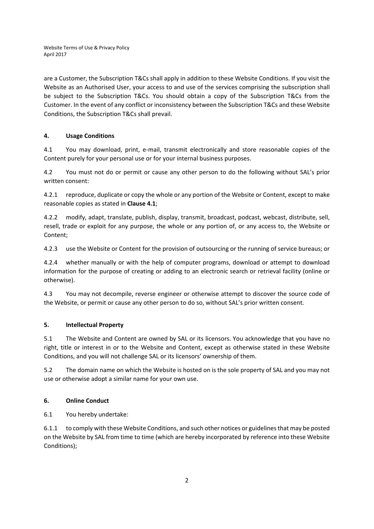are a Customer, the Subscription T&Cs shall apply in addition to these Website Conditions. If you visit the Website as an Authorised User, your access to and use of the services comprising the subscription shall be subject to the Subscription T&Cs. You should obtain a copy of the Subscription T&Cs from the Customer. In the event of any conflict or inconsistency between the Subscription T&Cs and these Website Conditions, the Subscription T&Cs shall prevail.

# **4. Usage Conditions**

4.1 You may download, print, e‐mail, transmit electronically and store reasonable copies of the Content purely for your personal use or for your internal business purposes.

4.2 You must not do or permit or cause any other person to do the following without SAL's prior written consent:

4.2.1 reproduce, duplicate or copy the whole or any portion of the Website or Content, except to make reasonable copies as stated in **Clause 4.1**;

4.2.2 modify, adapt, translate, publish, display, transmit, broadcast, podcast, webcast, distribute, sell, resell, trade or exploit for any purpose, the whole or any portion of, or any access to, the Website or Content;

4.2.3 use the Website or Content for the provision of outsourcing or the running of service bureaus; or

4.2.4 whether manually or with the help of computer programs, download or attempt to download information for the purpose of creating or adding to an electronic search or retrieval facility (online or otherwise).

4.3 You may not decompile, reverse engineer or otherwise attempt to discover the source code of the Website, or permit or cause any other person to do so, without SAL's prior written consent.

#### **5. Intellectual Property**

5.1 The Website and Content are owned by SAL or its licensors. You acknowledge that you have no right, title or interest in or to the Website and Content, except as otherwise stated in these Website Conditions, and you will not challenge SAL or its licensors' ownership of them.

5.2 The domain name on which the Website is hosted on is the sole property of SAL and you may not use or otherwise adopt a similar name for your own use.

#### **6. Online Conduct**

6.1 You hereby undertake:

6.1.1 to comply with these Website Conditions, and such other notices or guidelinesthat may be posted on the Website by SAL from time to time (which are hereby incorporated by reference into these Website Conditions);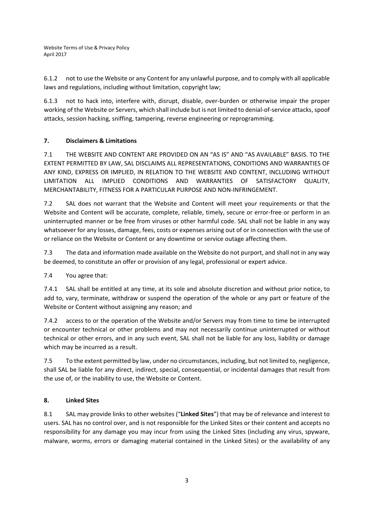6.1.2 not to use the Website or any Content for any unlawful purpose, and to comply with all applicable laws and regulations, including without limitation, copyright law;

6.1.3 not to hack into, interfere with, disrupt, disable, over‐burden or otherwise impair the proper working of the Website or Servers, which shall include but is not limited to denial-of-service attacks, spoof attacks, session hacking, sniffing, tampering, reverse engineering or reprogramming.

# **7. Disclaimers & Limitations**

7.1 THE WEBSITE AND CONTENT ARE PROVIDED ON AN "AS IS" AND "AS AVAILABLE" BASIS. TO THE EXTENT PERMITTED BY LAW, SAL DISCLAIMS ALL REPRESENTATIONS, CONDITIONS AND WARRANTIES OF ANY KIND, EXPRESS OR IMPLIED, IN RELATION TO THE WEBSITE AND CONTENT, INCLUDING WITHOUT LIMITATION ALL IMPLIED CONDITIONS AND WARRANTIES OF SATISFACTORY QUALITY, MERCHANTABILITY, FITNESS FOR A PARTICULAR PURPOSE AND NON‐INFRINGEMENT.

7.2 SAL does not warrant that the Website and Content will meet your requirements or that the Website and Content will be accurate, complete, reliable, timely, secure or error‐free or perform in an uninterrupted manner or be free from viruses or other harmful code. SAL shall not be liable in any way whatsoever for any losses, damage, fees, costs or expenses arising out of or in connection with the use of or reliance on the Website or Content or any downtime or service outage affecting them.

7.3 The data and information made available on the Website do not purport, and shall not in any way be deemed, to constitute an offer or provision of any legal, professional or expert advice.

7.4 You agree that:

7.4.1 SAL shall be entitled at any time, at its sole and absolute discretion and without prior notice, to add to, vary, terminate, withdraw or suspend the operation of the whole or any part or feature of the Website or Content without assigning any reason; and

7.4.2 access to or the operation of the Website and/or Servers may from time to time be interrupted or encounter technical or other problems and may not necessarily continue uninterrupted or without technical or other errors, and in any such event, SAL shall not be liable for any loss, liability or damage which may be incurred as a result.

7.5 To the extent permitted by law, under no circumstances, including, but not limited to, negligence, shall SAL be liable for any direct, indirect, special, consequential, or incidental damages that result from the use of, or the inability to use, the Website or Content.

# **8. Linked Sites**

8.1 SAL may provide links to other websites ("**Linked Sites**") that may be of relevance and interest to users. SAL has no control over, and is not responsible for the Linked Sites or their content and accepts no responsibility for any damage you may incur from using the Linked Sites (including any virus, spyware, malware, worms, errors or damaging material contained in the Linked Sites) or the availability of any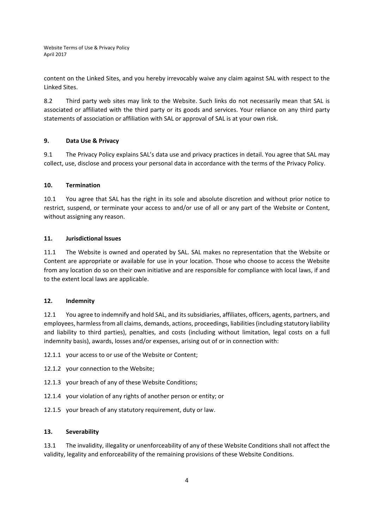content on the Linked Sites, and you hereby irrevocably waive any claim against SAL with respect to the Linked Sites.

8.2 Third party web sites may link to the Website. Such links do not necessarily mean that SAL is associated or affiliated with the third party or its goods and services. Your reliance on any third party statements of association or affiliation with SAL or approval of SAL is at your own risk.

#### **9. Data Use & Privacy**

9.1 The Privacy Policy explains SAL's data use and privacy practices in detail. You agree that SAL may collect, use, disclose and process your personal data in accordance with the terms of the Privacy Policy.

#### **10. Termination**

10.1 You agree that SAL has the right in its sole and absolute discretion and without prior notice to restrict, suspend, or terminate your access to and/or use of all or any part of the Website or Content, without assigning any reason.

## **11. Jurisdictional Issues**

11.1 The Website is owned and operated by SAL. SAL makes no representation that the Website or Content are appropriate or available for use in your location. Those who choose to access the Website from any location do so on their own initiative and are responsible for compliance with local laws, if and to the extent local laws are applicable.

#### **12. Indemnity**

12.1 You agree to indemnify and hold SAL, and its subsidiaries, affiliates, officers, agents, partners, and employees, harmlessfrom all claims, demands, actions, proceedings, liabilities(including statutory liability and liability to third parties), penalties, and costs (including without limitation, legal costs on a full indemnity basis), awards, losses and/or expenses, arising out of or in connection with:

12.1.1 your access to or use of the Website or Content;

- 12.1.2 your connection to the Website;
- 12.1.3 your breach of any of these Website Conditions;
- 12.1.4 your violation of any rights of another person or entity; or
- 12.1.5 your breach of any statutory requirement, duty or law.

#### **13. Severability**

13.1 The invalidity, illegality or unenforceability of any of these Website Conditions shall not affect the validity, legality and enforceability of the remaining provisions of these Website Conditions.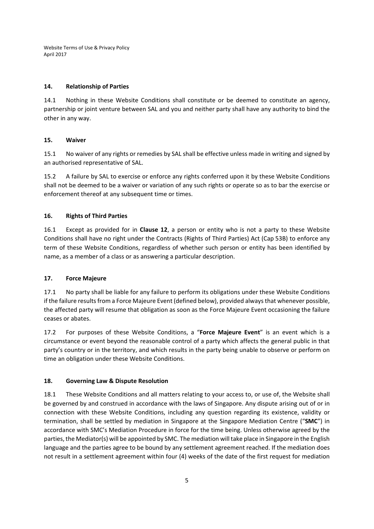#### **14. Relationship of Parties**

14.1 Nothing in these Website Conditions shall constitute or be deemed to constitute an agency, partnership or joint venture between SAL and you and neither party shall have any authority to bind the other in any way.

#### **15. Waiver**

15.1 No waiver of any rights or remedies by SAL shall be effective unless made in writing and signed by an authorised representative of SAL.

15.2 A failure by SAL to exercise or enforce any rights conferred upon it by these Website Conditions shall not be deemed to be a waiver or variation of any such rights or operate so as to bar the exercise or enforcement thereof at any subsequent time or times.

#### **16. Rights of Third Parties**

16.1 Except as provided for in **Clause 12**, a person or entity who is not a party to these Website Conditions shall have no right under the Contracts (Rights of Third Parties) Act (Cap 53B) to enforce any term of these Website Conditions, regardless of whether such person or entity has been identified by name, as a member of a class or as answering a particular description.

#### **17. Force Majeure**

17.1 No party shall be liable for any failure to perform its obligations under these Website Conditions if the failure results from a Force Majeure Event (defined below), provided always that whenever possible, the affected party will resume that obligation as soon as the Force Majeure Event occasioning the failure ceases or abates.

17.2 For purposes of these Website Conditions, a "**Force Majeure Event**" is an event which is a circumstance or event beyond the reasonable control of a party which affects the general public in that party's country or in the territory, and which results in the party being unable to observe or perform on time an obligation under these Website Conditions.

#### **18. Governing Law & Dispute Resolution**

18.1 These Website Conditions and all matters relating to your access to, or use of, the Website shall be governed by and construed in accordance with the laws of Singapore. Any dispute arising out of or in connection with these Website Conditions, including any question regarding its existence, validity or termination, shall be settled by mediation in Singapore at the Singapore Mediation Centre ("**SMC**") in accordance with SMC's Mediation Procedure in force for the time being. Unless otherwise agreed by the parties,the Mediator(s) will be appointed by SMC. The mediation will take place in Singapore in the English language and the parties agree to be bound by any settlement agreement reached. If the mediation does not result in a settlement agreement within four (4) weeks of the date of the first request for mediation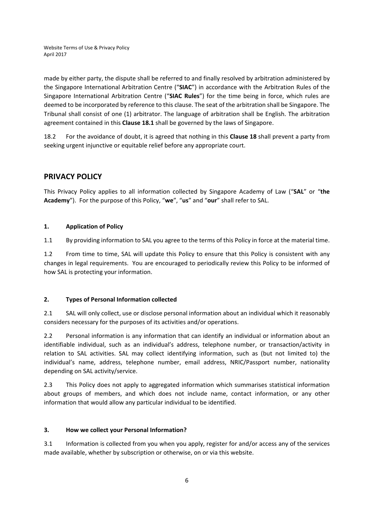made by either party, the dispute shall be referred to and finally resolved by arbitration administered by the Singapore International Arbitration Centre ("**SIAC**") in accordance with the Arbitration Rules of the Singapore International Arbitration Centre ("**SIAC Rules**") for the time being in force, which rules are deemed to be incorporated by reference to this clause. The seat of the arbitration shall be Singapore. The Tribunal shall consist of one (1) arbitrator. The language of arbitration shall be English. The arbitration agreement contained in this **Clause 18.1** shall be governed by the laws of Singapore.

18.2 For the avoidance of doubt, it is agreed that nothing in this **Clause 18** shall prevent a party from seeking urgent injunctive or equitable relief before any appropriate court.

# **PRIVACY POLICY**

This Privacy Policy applies to all information collected by Singapore Academy of Law ("**SAL**" or "**the Academy**"). For the purpose of this Policy, "**we**", "**us**" and "**our**" shall refer to SAL.

## **1. Application of Policy**

1.1 By providing information to SAL you agree to the terms of this Policy in force at the material time.

1.2 From time to time, SAL will update this Policy to ensure that this Policy is consistent with any changes in legal requirements. You are encouraged to periodically review this Policy to be informed of how SAL is protecting your information.

#### **2. Types of Personal Information collected**

2.1 SAL will only collect, use or disclose personal information about an individual which it reasonably considers necessary for the purposes of its activities and/or operations.

2.2 Personal information is any information that can identify an individual or information about an identifiable individual, such as an individual's address, telephone number, or transaction/activity in relation to SAL activities. SAL may collect identifying information, such as (but not limited to) the individual's name, address, telephone number, email address, NRIC/Passport number, nationality depending on SAL activity/service.

2.3 This Policy does not apply to aggregated information which summarises statistical information about groups of members, and which does not include name, contact information, or any other information that would allow any particular individual to be identified.

#### **3. How we collect your Personal Information?**

3.1 Information is collected from you when you apply, register for and/or access any of the services made available, whether by subscription or otherwise, on or via this website.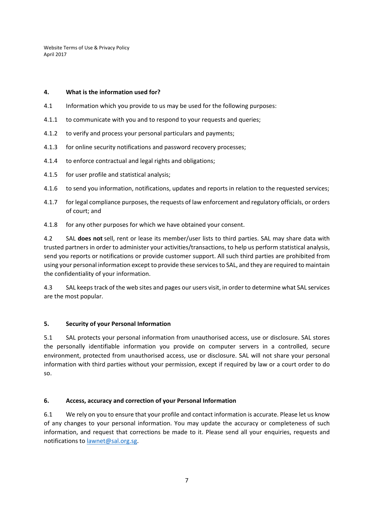#### **4. What is the information used for?**

- 4.1 Information which you provide to us may be used for the following purposes:
- 4.1.1 to communicate with you and to respond to your requests and queries;
- 4.1.2 to verify and process your personal particulars and payments;
- 4.1.3 for online security notifications and password recovery processes;
- 4.1.4 to enforce contractual and legal rights and obligations;
- 4.1.5 for user profile and statistical analysis;
- 4.1.6 to send you information, notifications, updates and reports in relation to the requested services;
- 4.1.7 for legal compliance purposes, the requests of law enforcement and regulatory officials, or orders of court; and
- 4.1.8 for any other purposes for which we have obtained your consent.

4.2 SAL **does not** sell, rent or lease its member/user lists to third parties. SAL may share data with trusted partners in order to administer your activities/transactions, to help us perform statistical analysis, send you reports or notifications or provide customer support. All such third parties are prohibited from using your personal information except to provide these servicesto SAL, and they are required to maintain the confidentiality of your information.

4.3 SAL keepstrack of the web sites and pages our users visit, in order to determine what SAL services are the most popular.

#### **5. Security of your Personal Information**

5.1 SAL protects your personal information from unauthorised access, use or disclosure. SAL stores the personally identifiable information you provide on computer servers in a controlled, secure environment, protected from unauthorised access, use or disclosure. SAL will not share your personal information with third parties without your permission, except if required by law or a court order to do so.

#### **6. Access, accuracy and correction of your Personal Information**

6.1 We rely on you to ensure that your profile and contact information is accurate. Please let us know of any changes to your personal information. You may update the accuracy or completeness of such information, and request that corrections be made to it. Please send all your enquiries, requests and notifications to lawnet@sal.org.sg.